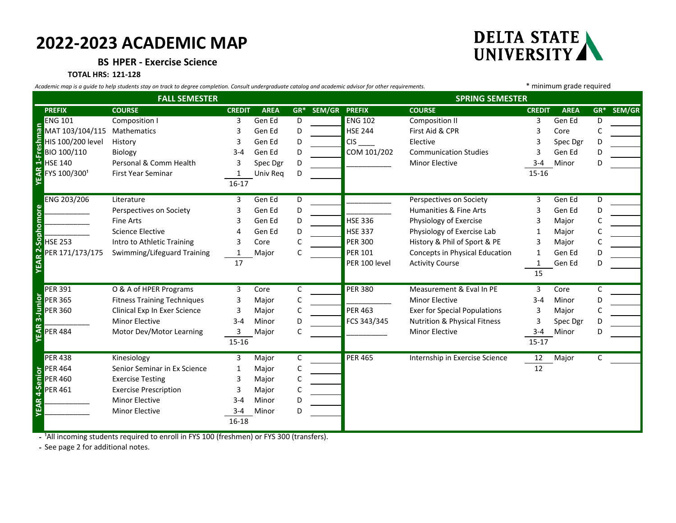## **2022-2023 ACADEMIC MAP**



**BS HPER - Exercise Science**

## **TOTAL HRS: 121-128**

*Academic map is a guide to help students stay on track to degree completion. Consult undergraduate catalog and academic advisor for other requirements.* \* minimum grade required

| <b>FALL SEMESTER</b>    |                                    |                                                                                                       |               |             |   |                          | <b>SPRING SEMESTER</b> |                                         |               |             |       |        |
|-------------------------|------------------------------------|-------------------------------------------------------------------------------------------------------|---------------|-------------|---|--------------------------|------------------------|-----------------------------------------|---------------|-------------|-------|--------|
|                         | <b>PREFIX</b>                      | <b>COURSE</b>                                                                                         | <b>CREDIT</b> | <b>AREA</b> |   | <b>GR* SEM/GR PREFIX</b> |                        | <b>COURSE</b>                           | <b>CREDIT</b> | <b>AREA</b> | $GR*$ | SEM/GR |
|                         | <b>ENG 101</b>                     | Composition I                                                                                         | 3             | Gen Ed      | D |                          | <b>ENG 102</b>         | <b>Composition II</b>                   | 3             | Gen Ed      | D     |        |
| Freshman                | MAT 103/104/115                    | Mathematics                                                                                           | 3             | Gen Ed      | D |                          | <b>HSE 244</b>         | First Aid & CPR                         | 3             | Core        | C     |        |
|                         | HIS 100/200 level                  | History                                                                                               | 3             | Gen Ed      | D |                          | <b>CIS</b>             | Elective                                |               | Spec Dgr    | D.    |        |
|                         | BIO 100/110                        | Biology                                                                                               | $3 - 4$       | Gen Ed      | D |                          | COM 101/202            | <b>Communication Studies</b>            |               | Gen Ed      | D     |        |
|                         | <b>HSE 140</b>                     | Personal & Comm Health                                                                                | 3             | Spec Dgr    | D |                          |                        | <b>Minor Elective</b>                   | $3 - 4$       | Minor       | D     |        |
| <b>YEAR 1-</b>          | FYS 100/3001                       | First Year Seminar                                                                                    | 1             | Univ Req    | D |                          |                        |                                         | $15 - 16$     |             |       |        |
|                         |                                    |                                                                                                       | $16 - 17$     |             |   |                          |                        |                                         |               |             |       |        |
| <b>YEAR 2-Sophomore</b> | ENG 203/206                        | Literature                                                                                            | 3             | Gen Ed      | D |                          |                        | Perspectives on Society                 | 3             | Gen Ed      | D     |        |
|                         |                                    | Perspectives on Society                                                                               | 3             | Gen Ed      | D |                          |                        | Humanities & Fine Arts                  | 3             | Gen Ed      | D     |        |
|                         |                                    | <b>Fine Arts</b>                                                                                      | 3             | Gen Ed      | D |                          | <b>HSE 336</b>         | Physiology of Exercise                  | 3             | Major       |       |        |
|                         |                                    | <b>Science Elective</b>                                                                               |               | Gen Ed      | D |                          | <b>HSE 337</b>         | Physiology of Exercise Lab              |               | Major       |       |        |
|                         | <b>HSE 253</b>                     | Intro to Athletic Training                                                                            | 3             | Core        | C |                          | <b>PER 300</b>         | History & Phil of Sport & PE            | 3             | Major       |       |        |
|                         | PER 171/173/175                    | Swimming/Lifeguard Training                                                                           | 1             | Major       | C |                          | <b>PER 101</b>         | Concepts in Physical Education          | 1             | Gen Ed      | D     |        |
|                         |                                    |                                                                                                       | 17            |             |   |                          | PER 100 level          | <b>Activity Course</b>                  |               | Gen Ed      | D     |        |
|                         |                                    |                                                                                                       |               |             |   |                          |                        |                                         | 15            |             |       |        |
|                         | <b>PER 391</b>                     | O & A of HPER Programs                                                                                | 3             | Core        | C |                          | <b>PER 380</b>         | Measurement & Eval In PE                | 3             | Core        | C     |        |
| 3-Junior                | <b>PER 365</b>                     | <b>Fitness Training Techniques</b>                                                                    | 3             | Major       | С |                          |                        | <b>Minor Elective</b>                   | $3 - 4$       | Minor       | D     |        |
|                         | <b>PER 360</b>                     | Clinical Exp In Exer Science                                                                          | 3             | Major       | C |                          | <b>PER 463</b>         | <b>Exer for Special Populations</b>     | 3             | Major       |       |        |
|                         |                                    | <b>Minor Elective</b>                                                                                 | $3 - 4$       | Minor       | D |                          | FCS 343/345            | <b>Nutrition &amp; Physical Fitness</b> | 3             | Spec Dgr    | D     |        |
| <b>YEAR</b>             | <b>PER 484</b>                     | Motor Dev/Motor Learning                                                                              | 3             | Major       | C |                          |                        | <b>Minor Elective</b>                   | $3 - 4$       | Minor       | D     |        |
|                         |                                    |                                                                                                       | 15-16         |             |   |                          |                        |                                         | $15 - 17$     |             |       |        |
| 4-Senior                | <b>PER 438</b>                     | Kinesiology                                                                                           | 3             | Major       | C |                          | <b>PER 465</b>         | Internship in Exercise Science          | 12            | Major       | C     |        |
|                         | <b>PER 464</b>                     | Senior Seminar in Ex Science                                                                          | 1             | Major       | C |                          |                        |                                         | 12            |             |       |        |
|                         | <b>PER 460</b>                     | <b>Exercise Testing</b>                                                                               | 3             | Major       | C |                          |                        |                                         |               |             |       |        |
|                         | <b>PER 461</b>                     | <b>Exercise Prescription</b>                                                                          | 3             | Major       | C |                          |                        |                                         |               |             |       |        |
| YEAR                    |                                    | <b>Minor Elective</b>                                                                                 | $3 - 4$       | Minor       | D |                          |                        |                                         |               |             |       |        |
|                         |                                    | <b>Minor Elective</b>                                                                                 | $3 - 4$       | Minor       | D |                          |                        |                                         |               |             |       |        |
|                         |                                    |                                                                                                       | 16-18         |             |   |                          |                        |                                         |               |             |       |        |
|                         |                                    | - <sup>1</sup> All incoming students required to enroll in FYS 100 (freshmen) or FYS 300 (transfers). |               |             |   |                          |                        |                                         |               |             |       |        |
|                         | - See page 2 for additional notes. |                                                                                                       |               |             |   |                          |                        |                                         |               |             |       |        |